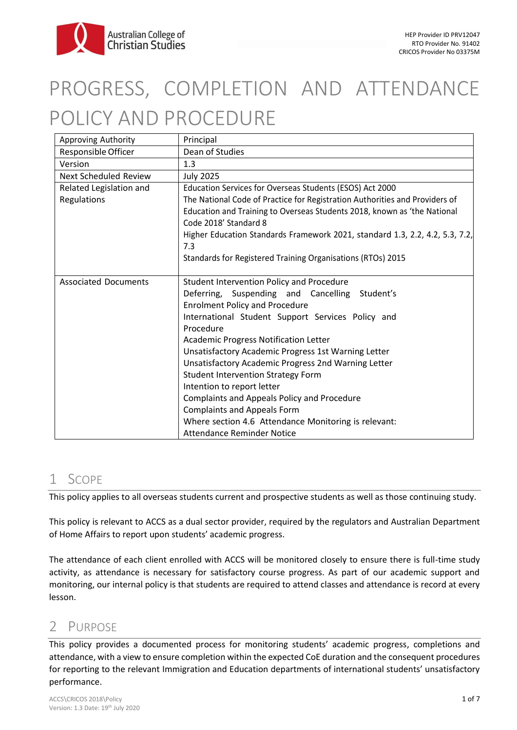

# PROGRESS, COMPLETION AND ATTENDANCE POLICY AND PROCEDURE

| Approving Authority          | Principal                                                                           |
|------------------------------|-------------------------------------------------------------------------------------|
| Responsible Officer          | Dean of Studies                                                                     |
| Version                      | 1.3                                                                                 |
| <b>Next Scheduled Review</b> | <b>July 2025</b>                                                                    |
| Related Legislation and      | Education Services for Overseas Students (ESOS) Act 2000                            |
| Regulations                  | The National Code of Practice for Registration Authorities and Providers of         |
|                              | Education and Training to Overseas Students 2018, known as 'the National            |
|                              | Code 2018' Standard 8                                                               |
|                              | Higher Education Standards Framework 2021, standard 1.3, 2.2, 4.2, 5.3, 7.2,<br>7.3 |
|                              | Standards for Registered Training Organisations (RTOs) 2015                         |
|                              |                                                                                     |
| <b>Associated Documents</b>  | Student Intervention Policy and Procedure                                           |
|                              | Deferring, Suspending and Cancelling Student's                                      |
|                              | <b>Enrolment Policy and Procedure</b>                                               |
|                              | International Student Support Services Policy and<br>Procedure                      |
|                              | <b>Academic Progress Notification Letter</b>                                        |
|                              | Unsatisfactory Academic Progress 1st Warning Letter                                 |
|                              | Unsatisfactory Academic Progress 2nd Warning Letter                                 |
|                              | <b>Student Intervention Strategy Form</b>                                           |
|                              | Intention to report letter                                                          |
|                              | <b>Complaints and Appeals Policy and Procedure</b>                                  |
|                              | <b>Complaints and Appeals Form</b>                                                  |
|                              | Where section 4.6 Attendance Monitoring is relevant:                                |
|                              | Attendance Reminder Notice                                                          |

# 1 SCOPE

This policy applies to all overseas students current and prospective students as well as those continuing study.

This policy is relevant to ACCS as a dual sector provider, required by the regulators and Australian Department of Home Affairs to report upon students' academic progress.

The attendance of each client enrolled with ACCS will be monitored closely to ensure there is full-time study activity, as attendance is necessary for satisfactory course progress. As part of our academic support and monitoring, our internal policy is that students are required to attend classes and attendance is record at every lesson.

# 2 PURPOSE

This policy provides a documented process for monitoring students' academic progress, completions and attendance, with a view to ensure completion within the expected CoE duration and the consequent procedures for reporting to the relevant Immigration and Education departments of international students' unsatisfactory performance.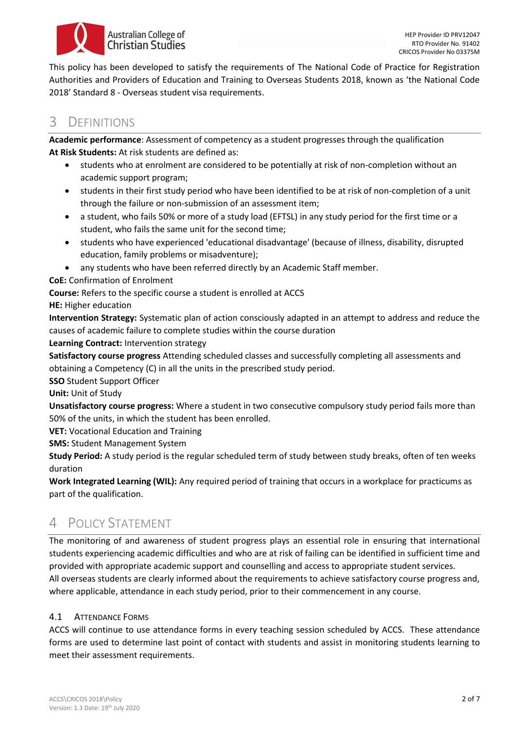

This policy has been developed to satisfy the requirements of The National Code of Practice for Registration Authorities and Providers of Education and Training to Overseas Students 2018, known as 'the National Code 2018' Standard 8 - Overseas student visa requirements.

# 3 DEFINITIONS

**Academic performance**: Assessment of competency as a student progresses through the qualification **At Risk Students:** At risk students are defined as:

- students who at enrolment are considered to be potentially at risk of non-completion without an academic support program;
- students in their first study period who have been identified to be at risk of non-completion of a unit through the failure or non-submission of an assessment item;
- a student, who fails 50% or more of a study load (EFTSL) in any study period for the first time or a student, who fails the same unit for the second time;
- students who have experienced 'educational disadvantage' (because of illness, disability, disrupted education, family problems or misadventure);
- any students who have been referred directly by an Academic Staff member.

**CoE:** Confirmation of Enrolment

**Course:** Refers to the specific course a student is enrolled at ACCS

**HE:** Higher education

**Intervention Strategy:** Systematic plan of action consciously adapted in an attempt to address and reduce the causes of academic failure to complete studies within the course duration

**Learning Contract:** Intervention strategy

**Satisfactory course progress** Attending scheduled classes and successfully completing all assessments and obtaining a Competency (C) in all the units in the prescribed study period.

**SSO** Student Support Officer

**Unit:** Unit of Study

**Unsatisfactory course progress:** Where a student in two consecutive compulsory study period fails more than 50% of the units, in which the student has been enrolled.

**VET:** Vocational Education and Training

**SMS:** Student Management System

**Study Period:** A study period is the regular scheduled term of study between study breaks, often of ten weeks duration

**Work Integrated Learning (WIL):** Any required period of training that occurs in a workplace for practicums as part of the qualification.

# 4 POLICY STATEMENT

The monitoring of and awareness of student progress plays an essential role in ensuring that international students experiencing academic difficulties and who are at risk of failing can be identified in sufficient time and provided with appropriate academic support and counselling and access to appropriate student services. All overseas students are clearly informed about the requirements to achieve satisfactory course progress and, where applicable, attendance in each study period, prior to their commencement in any course.

## 4.1 ATTENDANCE FORMS

ACCS will continue to use attendance forms in every teaching session scheduled by ACCS. These attendance forms are used to determine last point of contact with students and assist in monitoring students learning to meet their assessment requirements.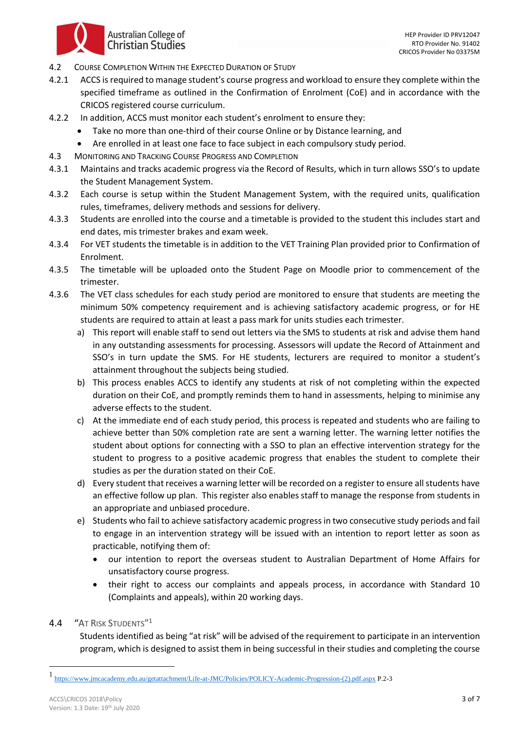

- 4.2 COURSE COMPLETION WITHIN THE EXPECTED DURATION OF STUDY
- 4.2.1 ACCS is required to manage student's course progress and workload to ensure they complete within the specified timeframe as outlined in the Confirmation of Enrolment (CoE) and in accordance with the CRICOS registered course curriculum.
- 4.2.2 In addition, ACCS must monitor each student's enrolment to ensure they:
	- Take no more than one-third of their course Online or by Distance learning, and
	- Are enrolled in at least one face to face subject in each compulsory study period.
- 4.3 MONITORING AND TRACKING COURSE PROGRESS AND COMPLETION
- 4.3.1 Maintains and tracks academic progress via the Record of Results, which in turn allows SSO's to update the Student Management System.
- 4.3.2 Each course is setup within the Student Management System, with the required units, qualification rules, timeframes, delivery methods and sessions for delivery.
- 4.3.3 Students are enrolled into the course and a timetable is provided to the student this includes start and end dates, mis trimester brakes and exam week.
- 4.3.4 For VET students the timetable is in addition to the VET Training Plan provided prior to Confirmation of Enrolment.
- 4.3.5 The timetable will be uploaded onto the Student Page on Moodle prior to commencement of the trimester.
- 4.3.6 The VET class schedules for each study period are monitored to ensure that students are meeting the minimum 50% competency requirement and is achieving satisfactory academic progress, or for HE students are required to attain at least a pass mark for units studies each trimester.
	- a) This report will enable staff to send out letters via the SMS to students at risk and advise them hand in any outstanding assessments for processing. Assessors will update the Record of Attainment and SSO's in turn update the SMS. For HE students, lecturers are required to monitor a student's attainment throughout the subjects being studied.
	- b) This process enables ACCS to identify any students at risk of not completing within the expected duration on their CoE, and promptly reminds them to hand in assessments, helping to minimise any adverse effects to the student.
	- c) At the immediate end of each study period, this process is repeated and students who are failing to achieve better than 50% completion rate are sent a warning letter. The warning letter notifies the student about options for connecting with a SSO to plan an effective intervention strategy for the student to progress to a positive academic progress that enables the student to complete their studies as per the duration stated on their CoE.
	- d) Every student that receives a warning letter will be recorded on a register to ensure all students have an effective follow up plan. This register also enables staff to manage the response from students in an appropriate and unbiased procedure.
	- e) Students who fail to achieve satisfactory academic progress in two consecutive study periods and fail to engage in an intervention strategy will be issued with an intention to report letter as soon as practicable, notifying them of:
		- our intention to report the overseas student to Australian Department of Home Affairs for unsatisfactory course progress.
		- their right to access our complaints and appeals process, in accordance with Standard 10 (Complaints and appeals), within 20 working days.

### **4.4 "AT RISK STUDENTS"**

Students identified as being "at risk" will be advised of the requirement to participate in an intervention program, which is designed to assist them in being successful in their studies and completing the course

<sup>1</sup> [https://www.jmcacademy.edu.au/getattachment/Life-at-JMC/Policies/POLICY-Academic-Progression-\(2\).pdf.aspx](https://www.jmcacademy.edu.au/getattachment/Life-at-JMC/Policies/POLICY-Academic-Progression-(2).pdf.aspx) P.2-3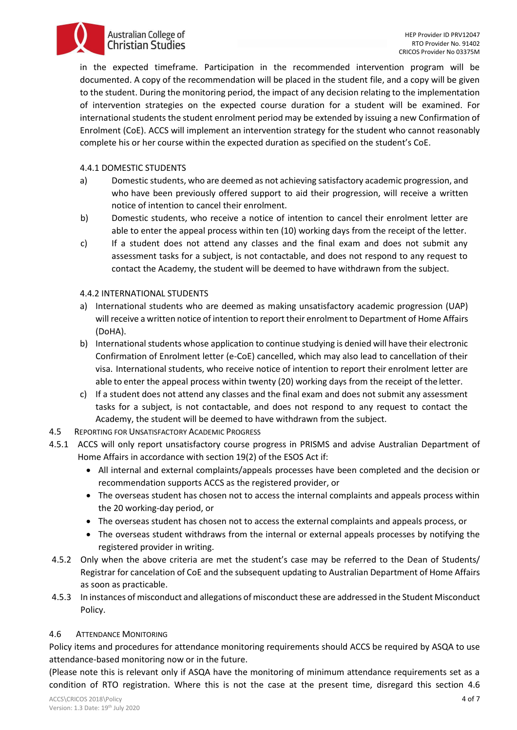#### HEP Provider ID PRV12047 RTO Provider No. 91402 CRICOS Provider No 03375M

**Australian College of Christian Studies** 

in the expected timeframe. Participation in the recommended intervention program will be documented. A copy of the recommendation will be placed in the student file, and a copy will be given to the student. During the monitoring period, the impact of any decision relating to the implementation of intervention strategies on the expected course duration for a student will be examined. For international students the student enrolment period may be extended by issuing a new Confirmation of Enrolment (CoE). ACCS will implement an intervention strategy for the student who cannot reasonably complete his or her course within the expected duration as specified on the student's CoE.

### 4.4.1 DOMESTIC STUDENTS

- a) Domestic students, who are deemed as not achieving satisfactory academic progression, and who have been previously offered support to aid their progression, will receive a written notice of intention to cancel their enrolment.
- b) Domestic students, who receive a notice of intention to cancel their enrolment letter are able to enter the appeal process within ten (10) working days from the receipt of the letter.
- c) If a student does not attend any classes and the final exam and does not submit any assessment tasks for a subject, is not contactable, and does not respond to any request to contact the Academy, the student will be deemed to have withdrawn from the subject.

### 4.4.2 INTERNATIONAL STUDENTS

- a) International students who are deemed as making unsatisfactory academic progression (UAP) will receive a written notice of intention to report their enrolment to Department of Home Affairs (DoHA).
- b) International students whose application to continue studying is denied will have their electronic Confirmation of Enrolment letter (e-CoE) cancelled, which may also lead to cancellation of their visa. International students, who receive notice of intention to report their enrolment letter are able to enter the appeal process within twenty (20) working days from the receipt of the letter.
- c) If a student does not attend any classes and the final exam and does not submit any assessment tasks for a subject, is not contactable, and does not respond to any request to contact the Academy, the student will be deemed to have withdrawn from the subject.
- 4.5 REPORTING FOR UNSATISFACTORY ACADEMIC PROGRESS
- 4.5.1 ACCS will only report unsatisfactory course progress in PRISMS and advise Australian Department of Home Affairs in accordance with section 19(2) of the ESOS Act if:
	- All internal and external complaints/appeals processes have been completed and the decision or recommendation supports ACCS as the registered provider, or
	- The overseas student has chosen not to access the internal complaints and appeals process within the 20 working-day period, or
	- The overseas student has chosen not to access the external complaints and appeals process, or
	- The overseas student withdraws from the internal or external appeals processes by notifying the registered provider in writing.
- 4.5.2 Only when the above criteria are met the student's case may be referred to the Dean of Students/ Registrar for cancelation of CoE and the subsequent updating to Australian Department of Home Affairs as soon as practicable.
- 4.5.3 In instances of misconduct and allegations of misconduct these are addressed in the Student Misconduct Policy.

### <span id="page-3-0"></span>4.6 ATTENDANCE MONITORING

Policy items and procedures for attendance monitoring requirements should ACCS be required by ASQA to use attendance-based monitoring now or in the future.

(Please note this is relevant only if ASQA have the monitoring of minimum attendance requirements set as a condition of RTO registration. Where this is not the case at the present time, disregard this section 4.[6](#page-3-0)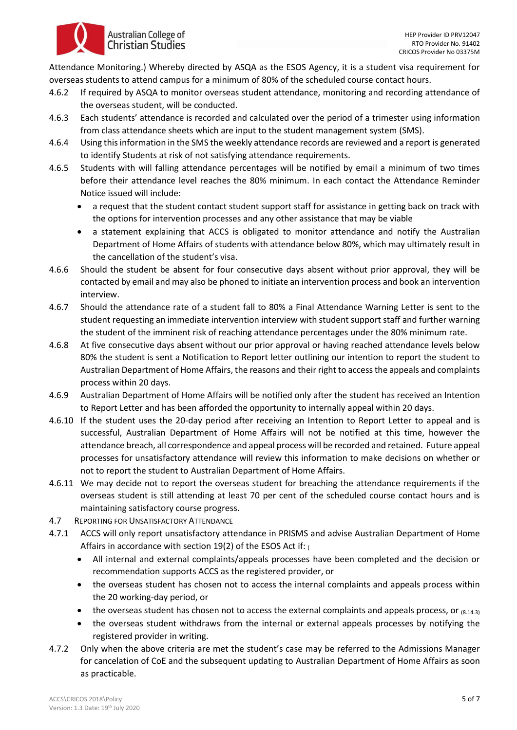[Attendance Monitoring.](#page-3-0)) Whereby directed by ASQA as the ESOS Agency, it is a student visa requirement for overseas students to attend campus for a minimum of 80% of the scheduled course contact hours.

- 4.6.2 If required by ASQA to monitor overseas student attendance, monitoring and recording attendance of the overseas student, will be conducted.
- 4.6.3 Each students' attendance is recorded and calculated over the period of a trimester using information from class attendance sheets which are input to the student management system (SMS).
- 4.6.4 Using this information in the SMS the weekly attendance records are reviewed and a report is generated to identify Students at risk of not satisfying attendance requirements.
- 4.6.5 Students with will falling attendance percentages will be notified by email a minimum of two times before their attendance level reaches the 80% minimum. In each contact the Attendance Reminder Notice issued will include:
	- a request that the student contact student support staff for assistance in getting back on track with the options for intervention processes and any other assistance that may be viable
	- a statement explaining that ACCS is obligated to monitor attendance and notify the Australian Department of Home Affairs of students with attendance below 80%, which may ultimately result in the cancellation of the student's visa.
- 4.6.6 Should the student be absent for four consecutive days absent without prior approval, they will be contacted by email and may also be phoned to initiate an intervention process and book an intervention interview.
- 4.6.7 Should the attendance rate of a student fall to 80% a Final Attendance Warning Letter is sent to the student requesting an immediate intervention interview with student support staff and further warning the student of the imminent risk of reaching attendance percentages under the 80% minimum rate.
- 4.6.8 At five consecutive days absent without our prior approval or having reached attendance levels below 80% the student is sent a Notification to Report letter outlining our intention to report the student to Australian Department of Home Affairs, the reasons and their right to access the appeals and complaints process within 20 days.
- 4.6.9 Australian Department of Home Affairs will be notified only after the student has received an Intention to Report Letter and has been afforded the opportunity to internally appeal within 20 days.
- 4.6.10 If the student uses the 20-day period after receiving an Intention to Report Letter to appeal and is successful, Australian Department of Home Affairs will not be notified at this time, however the attendance breach, all correspondence and appeal process will be recorded and retained. Future appeal processes for unsatisfactory attendance will review this information to make decisions on whether or not to report the student to Australian Department of Home Affairs.
- 4.6.11 We may decide not to report the overseas student for breaching the attendance requirements if the overseas student is still attending at least 70 per cent of the scheduled course contact hours and is maintaining satisfactory course progress.
- 4.7 REPORTING FOR UNSATISFACTORY ATTENDANCE

**Australian College of Christian Studies** 

- 4.7.1 ACCS will only report unsatisfactory attendance in PRISMS and advise Australian Department of Home Affairs in accordance with section 19(2) of the ESOS Act if: (
	- All internal and external complaints/appeals processes have been completed and the decision or recommendation supports ACCS as the registered provider, or
	- the overseas student has chosen not to access the internal complaints and appeals process within the 20 working-day period, or
	- the overseas student has chosen not to access the external complaints and appeals process, or  $_{(8.14.3)}$
	- the overseas student withdraws from the internal or external appeals processes by notifying the registered provider in writing.
- 4.7.2 Only when the above criteria are met the student's case may be referred to the Admissions Manager for cancelation of CoE and the subsequent updating to Australian Department of Home Affairs as soon as practicable.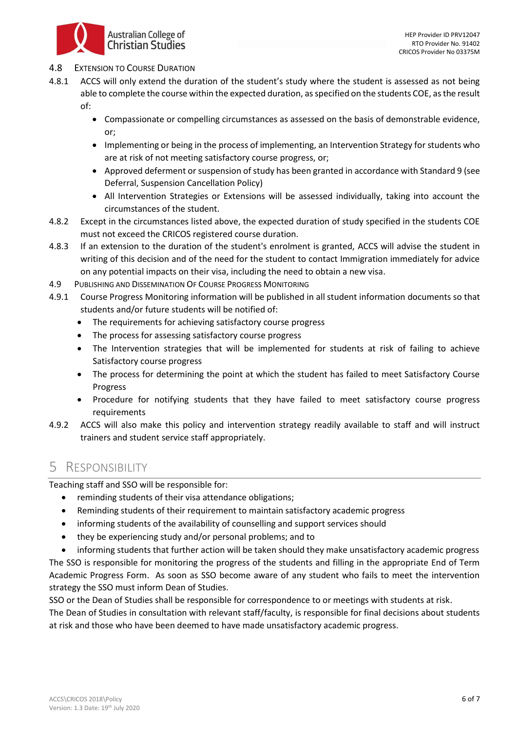

### 4.8 EXTENSION TO COURSE DURATION

- 4.8.1 ACCS will only extend the duration of the student's study where the student is assessed as not being able to complete the course within the expected duration, as specified on the students COE, as the result of:
	- Compassionate or compelling circumstances as assessed on the basis of demonstrable evidence, or;
	- Implementing or being in the process of implementing, an Intervention Strategy for students who are at risk of not meeting satisfactory course progress, or;
	- Approved deferment or suspension of study has been granted in accordance with Standard 9 (see Deferral, Suspension Cancellation Policy)
	- All Intervention Strategies or Extensions will be assessed individually, taking into account the circumstances of the student.
- 4.8.2 Except in the circumstances listed above, the expected duration of study specified in the students COE must not exceed the CRICOS registered course duration.
- 4.8.3 If an extension to the duration of the student's enrolment is granted, ACCS will advise the student in writing of this decision and of the need for the student to contact Immigration immediately for advice on any potential impacts on their visa, including the need to obtain a new visa.
- 4.9 PUBLISHING AND DISSEMINATION OF COURSE PROGRESS MONITORING
- 4.9.1 Course Progress Monitoring information will be published in all student information documents so that students and/or future students will be notified of:
	- The requirements for achieving satisfactory course progress
	- The process for assessing satisfactory course progress
	- The Intervention strategies that will be implemented for students at risk of failing to achieve Satisfactory course progress
	- The process for determining the point at which the student has failed to meet Satisfactory Course Progress
	- Procedure for notifying students that they have failed to meet satisfactory course progress requirements
- 4.9.2 ACCS will also make this policy and intervention strategy readily available to staff and will instruct trainers and student service staff appropriately.

# 5 RESPONSIBILITY

Teaching staff and SSO will be responsible for:

- reminding students of their visa attendance obligations;
- Reminding students of their requirement to maintain satisfactory academic progress
- informing students of the availability of counselling and support services should
- they be experiencing study and/or personal problems; and to
- informing students that further action will be taken should they make unsatisfactory academic progress The SSO is responsible for monitoring the progress of the students and filling in the appropriate End of Term Academic Progress Form. As soon as SSO become aware of any student who fails to meet the intervention strategy the SSO must inform Dean of Studies.

SSO or the Dean of Studies shall be responsible for correspondence to or meetings with students at risk.

The Dean of Studies in consultation with relevant staff/faculty, is responsible for final decisions about students at risk and those who have been deemed to have made unsatisfactory academic progress.